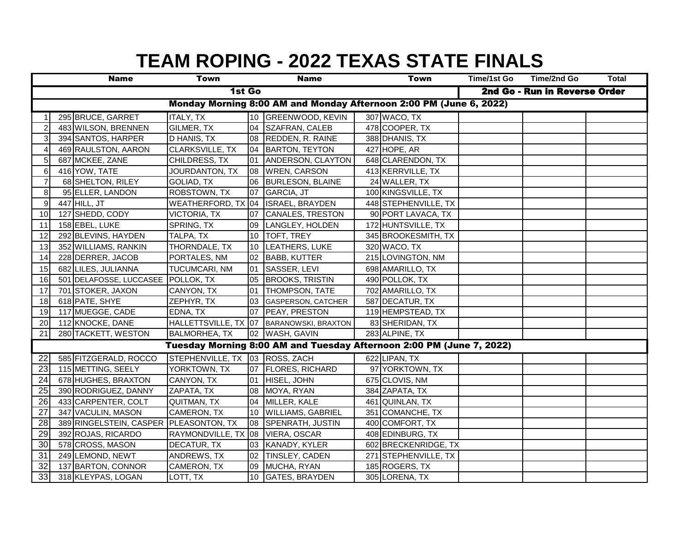|                |                                                                    | <b>Name</b>                            | Town                                |                 | <b>Name</b>                                                          |                               | <b>Town</b>          | Time/1st Go | Time/2nd Go | <b>Total</b> |
|----------------|--------------------------------------------------------------------|----------------------------------------|-------------------------------------|-----------------|----------------------------------------------------------------------|-------------------------------|----------------------|-------------|-------------|--------------|
| 1st Go         |                                                                    |                                        |                                     |                 |                                                                      | 2nd Go - Run in Reverse Order |                      |             |             |              |
|                | Monday Morning 8:00 AM and Monday Afternoon 2:00 PM (June 6, 2022) |                                        |                                     |                 |                                                                      |                               |                      |             |             |              |
|                |                                                                    | 295 BRUCE, GARRET                      | <b>ITALY, TX</b>                    |                 | 10 GREENWOOD, KEVIN                                                  |                               | 307 WACO, TX         |             |             |              |
| $\overline{2}$ |                                                                    | 483 WILSON, BRENNEN                    | GILMER, TX                          | 04              | SZAFRAN, CALEB                                                       |                               | 478 COOPER, TX       |             |             |              |
| 3              |                                                                    | 394 SANTOS, HARPER                     | D HANIS, TX                         | 08              | <b>REDDEN, R. RAINE</b>                                              |                               | 388 DHANIS, TX       |             |             |              |
|                |                                                                    | 469 RAULSTON, AARON                    | CLARKSVILLE, TX                     | 04              | <b>BARTON, TEYTON</b>                                                |                               | 427 HOPE, AR         |             |             |              |
| 5              |                                                                    | 687 MCKEE, ZANE                        | CHILDRESS, TX                       | 01              | ANDERSON, CLAYTON                                                    |                               | 648 CLARENDON, TX    |             |             |              |
| 6              |                                                                    | 416 YOW, TATE                          | JOURDANTON, TX                      | 08              | <b>WREN, CARSON</b>                                                  |                               | 413 KERRVILLE, TX    |             |             |              |
| $\overline{7}$ |                                                                    | 68 SHELTON, RILEY                      | GOLIAD, TX                          | 06              | <b>BURLESON, BLAINE</b>                                              |                               | 24 WALLER, TX        |             |             |              |
| 8              |                                                                    | 95 ELLER, LANDON                       | ROBSTOWN, TX                        | 07              | GARCIA, JT                                                           |                               | 100 KINGSVILLE, TX   |             |             |              |
| 9              |                                                                    | 447 HILL, JT                           | WEATHERFORD, TX 04  ISRAEL, BRAYDEN |                 |                                                                      |                               | 448 STEPHENVILLE, TX |             |             |              |
| 10             |                                                                    | 127 SHEDD, CODY                        | VICTORIA, TX                        | 07              | <b>CANALES, TRESTON</b>                                              |                               | 90 PORT LAVACA, TX   |             |             |              |
| 11             |                                                                    | 158 EBEL, LUKE                         | SPRING, TX                          | 09              | LANGLEY, HOLDEN                                                      |                               | 172 HUNTSVILLE, TX   |             |             |              |
| 12             |                                                                    | 292 BLEVINS, HAYDEN                    | TALPA, TX                           |                 | 10   TOFT, TREY                                                      |                               | 345 BROOKESMITH, TX  |             |             |              |
| 13             |                                                                    | 352 WILLIAMS, RANKIN                   | THORNDALE, TX                       |                 | 10 LEATHERS, LUKE                                                    |                               | 320 WACO, TX         |             |             |              |
| 14             |                                                                    | 228 DERRER, JACOB                      | PORTALES, NM                        |                 | 02 BABB, KUTTER                                                      |                               | 215 LOVINGTON, NM    |             |             |              |
| 15             |                                                                    | 682 LILES, JULIANNA                    | TUCUMCARI, NM                       |                 | 01 SASSER, LEVI                                                      |                               | 698 AMARILLO, TX     |             |             |              |
| 16             |                                                                    | 501 DELAFOSSE, LUCCASEE POLLOK, TX     |                                     |                 | 05 BROOKS, TRISTIN                                                   |                               | 490 POLLOK, TX       |             |             |              |
| 17             |                                                                    | 701 STOKER, JAXON                      | CANYON, TX                          |                 | 01 THOMPSON, TATE                                                    |                               | 702 AMARILLO, TX     |             |             |              |
| 18             |                                                                    | 618 PATE, SHYE                         | ZEPHYR, TX                          | 03              | <b>GASPERSON, CATCHER</b>                                            |                               | 587 DECATUR, TX      |             |             |              |
| 19             |                                                                    | 117 MUEGGE, CADE                       | EDNA, TX                            |                 | 07 PEAY, PRESTON                                                     |                               | 119 HEMPSTEAD, TX    |             |             |              |
| 20             |                                                                    | 112 KNOCKE, DANE                       |                                     |                 | HALLETTSVILLE, TX 07 BARANOWSKI, BRAXTON                             |                               | 83 SHERIDAN, TX      |             |             |              |
| 21             |                                                                    | 280 TACKETT, WESTON                    | <b>BALMORHEA, TX</b>                |                 | 02 WASH, GAVIN                                                       |                               | 283 ALPINE, TX       |             |             |              |
|                |                                                                    |                                        |                                     |                 | Tuesday Morning 8:00 AM and Tuesday Afternoon 2:00 PM (June 7, 2022) |                               |                      |             |             |              |
| 22             |                                                                    | 585 FITZGERALD, ROCCO                  | STEPHENVILLE, TX 03 ROSS, ZACH      |                 |                                                                      |                               | 622 LIPAN, TX        |             |             |              |
| 23             |                                                                    | 115 METTING, SEELY                     | YORKTOWN, TX                        |                 | 07 FLORES, RICHARD                                                   |                               | 97 YORKTOWN, TX      |             |             |              |
| 24             |                                                                    | 678 HUGHES, BRAXTON                    | CANYON, TX                          |                 | 01 HISEL, JOHN                                                       |                               | 675 CLOVIS, NM       |             |             |              |
| 25             |                                                                    | 390 RODRIGUEZ, DANNY                   | ZAPATA, TX                          |                 | 08 MOYA, RYAN                                                        |                               | 384 ZAPATA, TX       |             |             |              |
| 26             |                                                                    | 433 CARPENTER, COLT                    | QUITMAN, TX                         |                 | 04 MILLER, KALE                                                      |                               | 461 QUINLAN, TX      |             |             |              |
| 27             |                                                                    | 347 VACULIN, MASON                     | CAMERON, TX                         | 10 <sup>1</sup> | <b>WILLIAMS, GABRIEL</b>                                             |                               | 351 COMANCHE, TX     |             |             |              |
| 28             |                                                                    | 389 RINGELSTEIN, CASPER PLEASONTON, TX |                                     | 08              | <b>SPENRATH, JUSTIN</b>                                              |                               | 400 COMFORT, TX      |             |             |              |
| 29             |                                                                    | 392 ROJAS, RICARDO                     | RAYMONDVILLE, TX 08 VIERA, OSCAR    |                 |                                                                      |                               | 408 EDINBURG, TX     |             |             |              |
| 30             |                                                                    | 578 CROSS, MASON                       | DECATUR, TX                         |                 | 03 KANADY, KYLER                                                     |                               | 602 BRECKENRIDGE, TX |             |             |              |
| 31             |                                                                    | 249 LEMOND, NEWT                       | ANDREWS, TX                         | 02              | TINSLEY, CADEN                                                       |                               | 271 STEPHENVILLE, TX |             |             |              |
| 32             |                                                                    | 137 BARTON, CONNOR                     | CAMERON, TX                         |                 | 09 MUCHA, RYAN                                                       |                               | 185 ROGERS, TX       |             |             |              |
| 33             |                                                                    | 318 KLEYPAS, LOGAN                     | LOTT, TX                            | 10 <sup>1</sup> | <b>GATES, BRAYDEN</b>                                                |                               | 305 LORENA, TX       |             |             |              |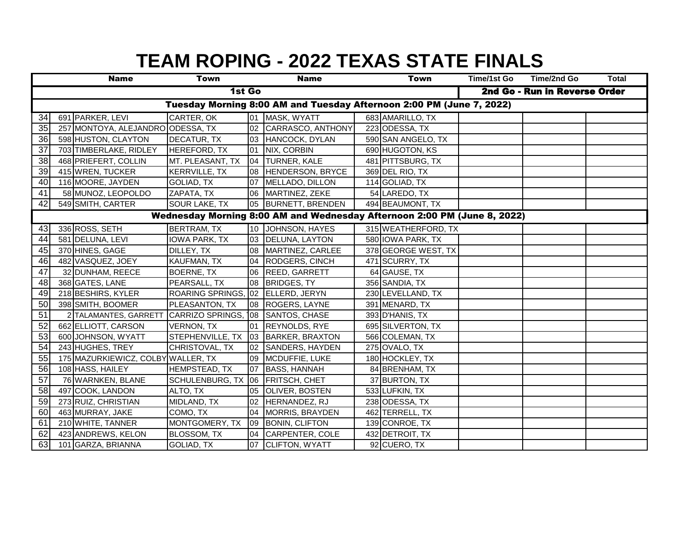|                                                                      |                                                                          | <b>Name</b>                        | <b>Town</b>                        |    | <b>Name</b>            |                               | <b>Town</b>         | <b>Time/1st Go</b> | Time/2nd Go | <b>Total</b> |
|----------------------------------------------------------------------|--------------------------------------------------------------------------|------------------------------------|------------------------------------|----|------------------------|-------------------------------|---------------------|--------------------|-------------|--------------|
| 1st Go                                                               |                                                                          |                                    |                                    |    |                        | 2nd Go - Run in Reverse Order |                     |                    |             |              |
| Tuesday Morning 8:00 AM and Tuesday Afternoon 2:00 PM (June 7, 2022) |                                                                          |                                    |                                    |    |                        |                               |                     |                    |             |              |
| 34                                                                   |                                                                          | 691 PARKER, LEVI                   | CARTER, OK                         |    | 01 MASK, WYATT         |                               | 683 AMARILLO, TX    |                    |             |              |
| 35                                                                   |                                                                          | 257 MONTOYA, ALEJANDRO ODESSA, TX  |                                    |    | 02 CARRASCO, ANTHONY   |                               | 223 ODESSA, TX      |                    |             |              |
| 36                                                                   |                                                                          | 598 HUSTON, CLAYTON                | <b>DECATUR, TX</b>                 |    | 03 HANCOCK, DYLAN      |                               | 590 SAN ANGELO, TX  |                    |             |              |
| 37                                                                   |                                                                          | 703 TIMBERLAKE, RIDLEY             | HEREFORD, TX                       |    | 01 NIX, CORBIN         |                               | 690 HUGOTON, KS     |                    |             |              |
| 38                                                                   |                                                                          | 468 PRIEFERT, COLLIN               | MT. PLEASANT, TX                   | 04 | <b>TURNER, KALE</b>    |                               | 481 PITTSBURG, TX   |                    |             |              |
| 39                                                                   |                                                                          | 415 WREN, TUCKER                   | <b>KERRVILLE, TX</b>               |    | 08 HENDERSON, BRYCE    |                               | 369 DEL RIO, TX     |                    |             |              |
| 40                                                                   |                                                                          | 116 MOORE, JAYDEN                  | GOLIAD, TX                         |    | 07 MELLADO, DILLON     |                               | 114 GOLIAD, TX      |                    |             |              |
| 41                                                                   |                                                                          | 58 MUNOZ, LEOPOLDO                 | ZAPATA, TX                         |    | 06 MARTINEZ, ZEKE      |                               | 54 LAREDO, TX       |                    |             |              |
| 42                                                                   |                                                                          | 549 SMITH, CARTER                  | SOUR LAKE, TX                      |    | 05 BURNETT, BRENDEN    |                               | 494 BEAUMONT, TX    |                    |             |              |
|                                                                      | Wednesday Morning 8:00 AM and Wednesday Afternoon 2:00 PM (June 8, 2022) |                                    |                                    |    |                        |                               |                     |                    |             |              |
| 43                                                                   |                                                                          | 336 ROSS, SETH                     | <b>BERTRAM, TX</b>                 |    | 10 JOHNSON, HAYES      |                               | 315 WEATHERFORD, TX |                    |             |              |
| 44                                                                   |                                                                          | 581 DELUNA, LEVI                   | <b>IOWA PARK, TX</b>               |    | 03 DELUNA, LAYTON      |                               | 580 IOWA PARK, TX   |                    |             |              |
| 45                                                                   |                                                                          | 370 HINES, GAGE                    | DILLEY, TX                         |    | 08 MARTINEZ, CARLEE    |                               | 378 GEORGE WEST, TX |                    |             |              |
| 46                                                                   |                                                                          | 482 VASQUEZ, JOEY                  | KAUFMAN, TX                        |    | 04 RODGERS, CINCH      |                               | 471 SCURRY, TX      |                    |             |              |
| 47                                                                   |                                                                          | 32 DUNHAM, REECE                   | <b>BOERNE, TX</b>                  |    | 06 REED, GARRETT       |                               | 64 GAUSE, TX        |                    |             |              |
| 48                                                                   |                                                                          | 368 GATES, LANE                    | PEARSALL, TX                       |    | 08 BRIDGES, TY         |                               | 356 SANDIA, TX      |                    |             |              |
| 49                                                                   |                                                                          | 218 BESHIRS, KYLER                 | ROARING SPRINGS, 02 ELLERD, JERYN  |    |                        |                               | 230 LEVELLAND, TX   |                    |             |              |
| 50                                                                   |                                                                          | 398 SMITH, BOOMER                  | PLEASANTON, TX                     |    | 08 ROGERS, LAYNE       |                               | 391 MENARD, TX      |                    |             |              |
| 51                                                                   |                                                                          | 2 TALAMANTES, GARRETT              | CARRIZO SPRINGS, 108 SANTOS, CHASE |    |                        |                               | 393 D'HANIS, TX     |                    |             |              |
| 52                                                                   |                                                                          | 662 ELLIOTT, CARSON                | <b>VERNON, TX</b>                  |    | 01 REYNOLDS, RYE       |                               | 695 SILVERTON, TX   |                    |             |              |
| 53                                                                   |                                                                          | 600 JOHNSON, WYATT                 | STEPHENVILLE, TX 03                |    | <b>BARKER, BRAXTON</b> |                               | 566 COLEMAN, TX     |                    |             |              |
| 54                                                                   |                                                                          | 243 HUGHES, TREY                   | CHRISTOVAL, TX                     | 02 | SANDERS, HAYDEN        |                               | 275 OVALO, TX       |                    |             |              |
| 55                                                                   |                                                                          | 175 MAZURKIEWICZ, COLBY WALLER, TX |                                    | 09 | MCDUFFIE, LUKE         |                               | 180 HOCKLEY, TX     |                    |             |              |
| 56                                                                   |                                                                          | 108 HASS, HAILEY                   | HEMPSTEAD, TX                      |    | 07 BASS, HANNAH        |                               | 84 BRENHAM, TX      |                    |             |              |
| 57                                                                   |                                                                          | 76 WARNKEN, BLANE                  | SCHULENBURG, TX 06 FRITSCH, CHET   |    |                        |                               | 37 BURTON, TX       |                    |             |              |
| 58                                                                   |                                                                          | 497 COOK, LANDON                   | ALTO, TX                           |    | 05 OLIVER, BOSTEN      |                               | 533 LUFKIN, TX      |                    |             |              |
| 59                                                                   |                                                                          | 273 RUIZ, CHRISTIAN                | MIDLAND, TX                        |    | 02 HERNANDEZ, RJ       |                               | 238 ODESSA, TX      |                    |             |              |
| 60                                                                   |                                                                          | 463 MURRAY, JAKE                   | COMO, TX                           |    | 04 MORRIS, BRAYDEN     |                               | 462 TERRELL, TX     |                    |             |              |
| 61                                                                   |                                                                          | 210 WHITE, TANNER                  | MONTGOMERY, TX                     |    | 09 BONIN, CLIFTON      |                               | 139 CONROE, TX      |                    |             |              |
| 62                                                                   |                                                                          | 423 ANDREWS, KELON                 | <b>BLOSSOM, TX</b>                 | 04 | CARPENTER, COLE        |                               | 432 DETROIT, TX     |                    |             |              |
| 63                                                                   |                                                                          | 101 GARZA, BRIANNA                 | GOLIAD, TX                         |    | 07 CLIFTON, WYATT      |                               | 92 CUERO, TX        |                    |             |              |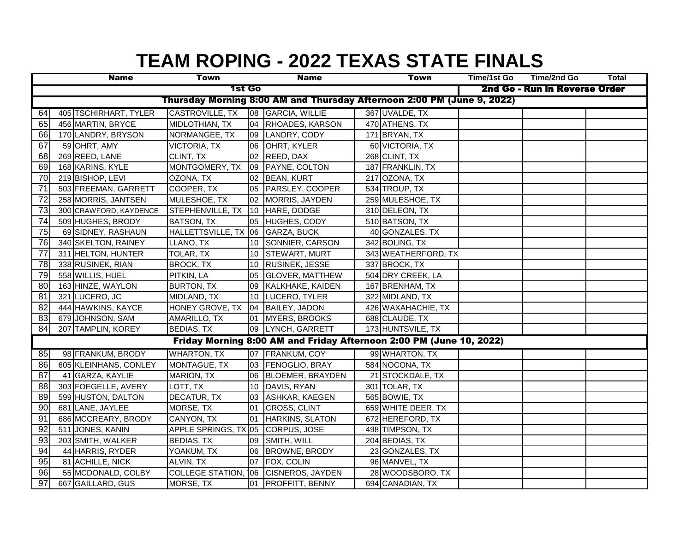|                                                                        |  | <b>Name</b>            | <b>Town</b>                       |                 | <b>Name</b>                                                         |  | Town                          | Time/1st Go | Time/2nd Go | Total |  |
|------------------------------------------------------------------------|--|------------------------|-----------------------------------|-----------------|---------------------------------------------------------------------|--|-------------------------------|-------------|-------------|-------|--|
| <b>1st Go</b>                                                          |  |                        |                                   |                 |                                                                     |  | 2nd Go - Run in Reverse Order |             |             |       |  |
| Thursday Morning 8:00 AM and Thursday Afternoon 2:00 PM (June 9, 2022) |  |                        |                                   |                 |                                                                     |  |                               |             |             |       |  |
| 64                                                                     |  | 405 TSCHIRHART, TYLER  | CASTROVILLE, TX                   |                 | 08 GARCIA, WILLIE                                                   |  | 367 UVALDE, TX                |             |             |       |  |
| 65                                                                     |  | 456 MARTIN, BRYCE      | MIDLOTHIAN, TX                    |                 | 04 RHOADES, KARSON                                                  |  | 470 ATHENS, TX                |             |             |       |  |
| 66                                                                     |  | 170 LANDRY, BRYSON     | NORMANGEE, TX                     |                 | 09 LANDRY, CODY                                                     |  | 171 BRYAN, TX                 |             |             |       |  |
| 67                                                                     |  | 59 OHRT, AMY           | VICTORIA, TX                      | 06              | OHRT, KYLER                                                         |  | 60 VICTORIA, TX               |             |             |       |  |
| 68                                                                     |  | 269 REED, LANE         | CLINT, TX                         |                 | 02 REED, DAX                                                        |  | $\overline{268}$ CLINT, TX    |             |             |       |  |
| 69                                                                     |  | 168 KARINS, KYLE       | MONTGOMERY, TX                    |                 | 09 PAYNE, COLTON                                                    |  | 187 FRANKLIN, TX              |             |             |       |  |
| 70                                                                     |  | 219 BISHOP, LEVI       | OZONA, TX                         |                 | 02 BEAN, KURT                                                       |  | 217 OZONA, TX                 |             |             |       |  |
| $\overline{71}$                                                        |  | 503 FREEMAN, GARRETT   | COOPER, TX                        |                 | 05 PARSLEY, COOPER                                                  |  | 534 TROUP, TX                 |             |             |       |  |
| 72                                                                     |  | 258 MORRIS, JANTSEN    | MULESHOE, TX                      |                 | 02 MORRIS, JAYDEN                                                   |  | 259 MULESHOE, TX              |             |             |       |  |
| 73                                                                     |  | 300 CRAWFORD, KAYDENCE | STEPHENVILLE, TX 10 HARE, DODGE   |                 |                                                                     |  | 310 DELEON, TX                |             |             |       |  |
| 74                                                                     |  | 509 HUGHES, BRODY      | <b>BATSON, TX</b>                 |                 | 05 HUGHES, CODY                                                     |  | 510 BATSON, TX                |             |             |       |  |
| 75                                                                     |  | 69 SIDNEY, RASHAUN     | HALLETTSVILLE, TX 06 GARZA, BUCK  |                 |                                                                     |  | 40 GONZALES, TX               |             |             |       |  |
| 76                                                                     |  | 340 SKELTON, RAINEY    | LLANO, TX                         | 10              | SONNIER, CARSON                                                     |  | 342 BOLING, TX                |             |             |       |  |
| 77                                                                     |  | 311 HELTON, HUNTER     | TOLAR, TX                         | 10 <sup>1</sup> | <b>STEWART, MURT</b>                                                |  | 343 WEATHERFORD, TX           |             |             |       |  |
| 78                                                                     |  | 338 RUSINEK, RIAN      | <b>BROCK, TX</b>                  | 10 <sup>1</sup> | RUSINEK, JESSE                                                      |  | 337 BROCK, TX                 |             |             |       |  |
| 79                                                                     |  | 558 WILLIS, HUEL       | PITKIN, LA                        | 05              | <b>GLOVER, MATTHEW</b>                                              |  | 504 DRY CREEK, LA             |             |             |       |  |
| 80                                                                     |  | 163 HINZE, WAYLON      | <b>BURTON, TX</b>                 | 09              | KALKHAKE, KAIDEN                                                    |  | 167 BRENHAM, TX               |             |             |       |  |
| 81                                                                     |  | 321 LUCERO, JC         | MIDLAND, TX                       | 10              | LUCERO, TYLER                                                       |  | 322 MIDLAND, TX               |             |             |       |  |
| 82                                                                     |  | 444 HAWKINS, KAYCE     | HONEY GROVE, TX                   |                 | 04 BAILEY, JADON                                                    |  | 426 WAXAHACHIE, TX            |             |             |       |  |
| 83                                                                     |  | 679 JOHNSON, SAM       | AMARILLO, TX                      | 01              | <b>MYERS, BROOKS</b>                                                |  | 688 CLAUDE, TX                |             |             |       |  |
| 84                                                                     |  | 207 TAMPLIN, KOREY     | <b>BEDIAS, TX</b>                 |                 | 09 LYNCH, GARRETT                                                   |  | 173 HUNTSVILE, TX             |             |             |       |  |
|                                                                        |  |                        |                                   |                 | Friday Morning 8:00 AM and Friday Afternoon 2:00 PM (June 10, 2022) |  |                               |             |             |       |  |
| 85                                                                     |  | 98 FRANKUM, BRODY      | <b>WHARTON, TX</b>                |                 | 07 FRANKUM, COY                                                     |  | 99 WHARTON, TX                |             |             |       |  |
| 86                                                                     |  | 605 KLEINHANS, CONLEY  | MONTAGUE, TX                      |                 | 03 FENOGLIO, BRAY                                                   |  | 584 NOCONA, TX                |             |             |       |  |
| 87                                                                     |  | 41 GARZA, KAYLIE       | MARION, TX                        | 06              | BLOEMER, BRAYDEN                                                    |  | 21 STOCKDALE, TX              |             |             |       |  |
| 88                                                                     |  | 303 FOEGELLE, AVERY    | LOTT, TX                          | 10              | DAVIS, RYAN                                                         |  | 301 TOLAR, TX                 |             |             |       |  |
| 89                                                                     |  | 599 HUSTON, DALTON     | DECATUR, TX                       | 03              | ASHKAR, KAEGEN                                                      |  | 565 BOWIE, TX                 |             |             |       |  |
| 90                                                                     |  | 681 LANE, JAYLEE       | MORSE, TX                         | 01              | <b>CROSS, CLINT</b>                                                 |  | 659 WHITE DEER, TX            |             |             |       |  |
| 91                                                                     |  | 686 MCCREARY, BRODY    | CANYON, TX                        | 01              | HARKINS, SLATON                                                     |  | 672 HEREFORD, TX              |             |             |       |  |
| 92                                                                     |  | 511 JONES, KANIN       | APPLE SPRINGS, TX 05 CORPUS, JOSE |                 |                                                                     |  | 498 TIMPSON, TX               |             |             |       |  |
| 93                                                                     |  | 203 SMITH, WALKER      | <b>BEDIAS, TX</b>                 | 09              | SMITH, WILL                                                         |  | 204 BEDIAS, TX                |             |             |       |  |
| 94                                                                     |  | 44 HARRIS, RYDER       | YOAKUM, TX                        |                 | 06 BROWNE, BRODY                                                    |  | 23 GONZALES, TX               |             |             |       |  |
| 95                                                                     |  | 81 ACHILLE, NICK       | ALVIN, TX                         |                 | 07 FOX, COLIN                                                       |  | 96 MANVEL, TX                 |             |             |       |  |
| 96                                                                     |  | 55 MCDONALD, COLBY     |                                   |                 | COLLEGE STATION, 106 CISNEROS, JAYDEN                               |  | 28 WOODSBORO, TX              |             |             |       |  |
| 97                                                                     |  | 667 GAILLARD, GUS      | MORSE, TX                         |                 | 01 PROFFITT, BENNY                                                  |  | 694 CANADIAN, TX              |             |             |       |  |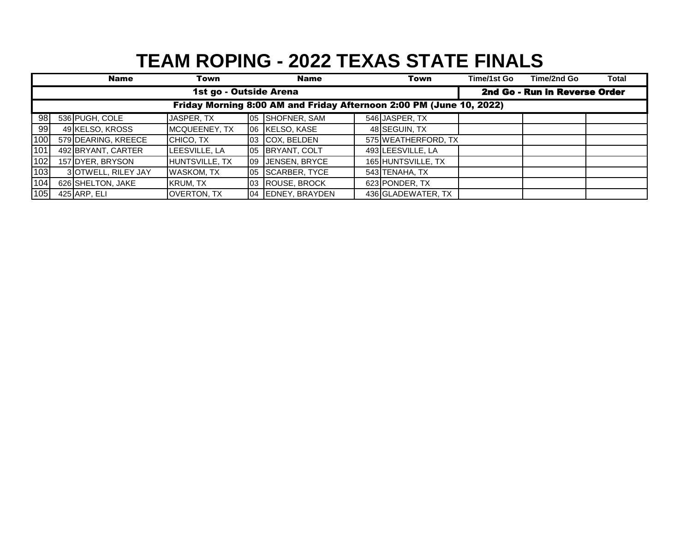|     |                                                                     | <b>Name</b>         | Town               |    | <b>Name</b>       |  | Town                | Time/1st Go | Time/2nd Go                   | <b>Total</b> |  |  |
|-----|---------------------------------------------------------------------|---------------------|--------------------|----|-------------------|--|---------------------|-------------|-------------------------------|--------------|--|--|
|     | 1st go - Outside Arena                                              |                     |                    |    |                   |  |                     |             | 2nd Go - Run in Reverse Order |              |  |  |
|     | Friday Morning 8:00 AM and Friday Afternoon 2:00 PM (June 10, 2022) |                     |                    |    |                   |  |                     |             |                               |              |  |  |
| 98  |                                                                     | 536 PUGH, COLE      | JASPER, TX         |    | 05 SHOFNER, SAM   |  | 546 JASPER, TX      |             |                               |              |  |  |
| 99  |                                                                     | 49 KELSO, KROSS     | MCQUEENEY, TX      |    | 06 KELSO, KASE    |  | 48 SEGUIN, TX       |             |                               |              |  |  |
| 100 |                                                                     | 579 DEARING, KREECE | CHICO, TX          | 03 | COX, BELDEN       |  | 575 WEATHERFORD, TX |             |                               |              |  |  |
| 101 |                                                                     | 492 BRYANT, CARTER  | LEESVILLE, LA      |    | 05 BRYANT, COLT   |  | 493 LEESVILLE, LA   |             |                               |              |  |  |
| 102 |                                                                     | 157 DYER, BRYSON    | HUNTSVILLE, TX     | 09 | JENSEN, BRYCE     |  | 165 HUNTSVILLE, TX  |             |                               |              |  |  |
| 103 |                                                                     | 3 OTWELL, RILEY JAY | <b>WASKOM, TX</b>  | 05 | SCARBER, TYCE     |  | 543 TENAHA, TX      |             |                               |              |  |  |
| 104 |                                                                     | 626 SHELTON, JAKE   | KRUM, TX           | 03 | ROUSE, BROCK      |  | 623 PONDER, TX      |             |                               |              |  |  |
| 105 |                                                                     | 425 ARP, ELI        | <b>OVERTON, TX</b> |    | 04 EDNEY, BRAYDEN |  | 436 GLADEWATER, TX  |             |                               |              |  |  |